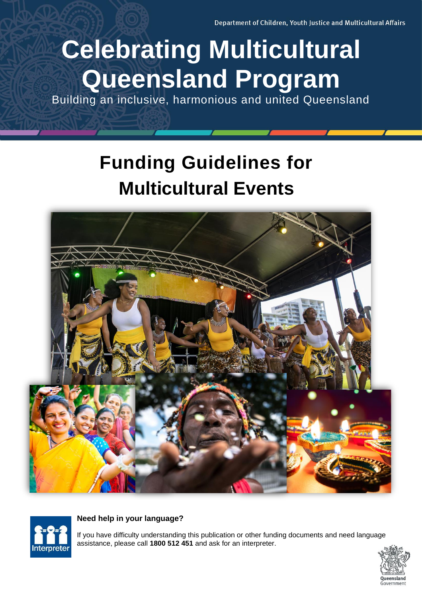Department of Children, Youth Justice and Multicultural Affairs

# **Celebrating Multicultural Queensland Program**

Building an inclusive, harmonious and united Queensland

## **Funding Guidelines for Multicultural Events**





#### **Need help in your language?**

If you have difficulty understanding this publication or other funding documents and need language assistance, please call **1800 512 451** and ask for an interpreter.

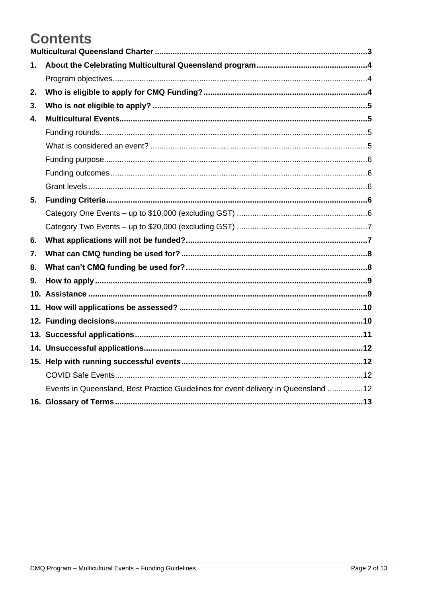## **Contents**

| 1. |                                                                                    |
|----|------------------------------------------------------------------------------------|
|    |                                                                                    |
| 2. |                                                                                    |
| 3. |                                                                                    |
| 4. |                                                                                    |
|    |                                                                                    |
|    |                                                                                    |
|    |                                                                                    |
|    |                                                                                    |
|    |                                                                                    |
| 5. |                                                                                    |
|    |                                                                                    |
|    |                                                                                    |
| 6. |                                                                                    |
| 7. |                                                                                    |
| 8. |                                                                                    |
| 9. |                                                                                    |
|    |                                                                                    |
|    |                                                                                    |
|    |                                                                                    |
|    |                                                                                    |
|    |                                                                                    |
|    |                                                                                    |
|    |                                                                                    |
|    | Events in Queensland, Best Practice Guidelines for event delivery in Queensland 12 |
|    |                                                                                    |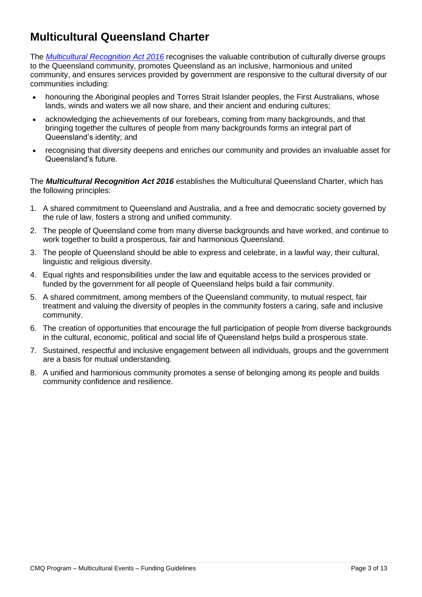## <span id="page-2-0"></span>**Multicultural Queensland Charter**

The *[Multicultural Recognition Act 2016](https://www.cyjma.qld.gov.au/multicultural-affairs/policy-governance/multicultural-recognition-act-2016)* recognises the valuable contribution of culturally diverse groups to the Queensland community, promotes Queensland as an inclusive, harmonious and united community, and ensures services provided by government are responsive to the cultural diversity of our communities including:

- honouring the Aboriginal peoples and Torres Strait Islander peoples, the First Australians, whose lands, winds and waters we all now share, and their ancient and enduring cultures;
- acknowledging the achievements of our forebears, coming from many backgrounds, and that bringing together the cultures of people from many backgrounds forms an integral part of Queensland's identity; and
- recognising that diversity deepens and enriches our community and provides an invaluable asset for Queensland's future.

The *Multicultural Recognition Act 2016* establishes the Multicultural Queensland Charter, which has the following principles:

- 1. A shared commitment to Queensland and Australia, and a free and democratic society governed by the rule of law, fosters a strong and unified community.
- 2. The people of Queensland come from many diverse backgrounds and have worked, and continue to work together to build a prosperous, fair and harmonious Queensland.
- 3. The people of Queensland should be able to express and celebrate, in a lawful way, their cultural, linguistic and religious diversity.
- 4. Equal rights and responsibilities under the law and equitable access to the services provided or funded by the government for all people of Queensland helps build a fair community.
- 5. A shared commitment, among members of the Queensland community, to mutual respect, fair treatment and valuing the diversity of peoples in the community fosters a caring, safe and inclusive community.
- 6. The creation of opportunities that encourage the full participation of people from diverse backgrounds in the cultural, economic, political and social life of Queensland helps build a prosperous state.
- 7. Sustained, respectful and inclusive engagement between all individuals, groups and the government are a basis for mutual understanding.
- 8. A unified and harmonious community promotes a sense of belonging among its people and builds community confidence and resilience.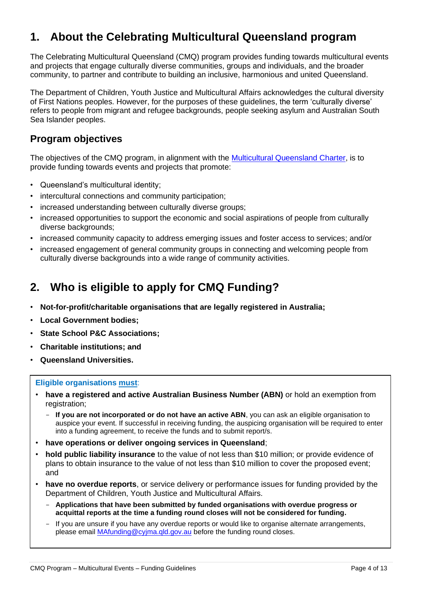## <span id="page-3-0"></span>**1. About the Celebrating Multicultural Queensland program**

The Celebrating Multicultural Queensland (CMQ) program provides funding towards multicultural events and projects that engage culturally diverse communities, groups and individuals, and the broader community, to partner and contribute to building an inclusive, harmonious and united Queensland.

The Department of Children, Youth Justice and Multicultural Affairs acknowledges the cultural diversity of First Nations peoples. However, for the purposes of these guidelines, the term 'culturally diverse' refers to people from migrant and refugee backgrounds, people seeking asylum and Australian South Sea Islander peoples.

#### <span id="page-3-1"></span>**Program objectives**

The objectives of the CMQ program, in alignment with the **Multicultural Queensland Charter**, is to provide funding towards events and projects that promote:

- Queensland's multicultural identity;
- intercultural connections and community participation;
- increased understanding between culturally diverse groups;
- increased opportunities to support the economic and social aspirations of people from culturally diverse backgrounds;
- increased community capacity to address emerging issues and foster access to services; and/or
- increased engagement of general community groups in connecting and welcoming people from culturally diverse backgrounds into a wide range of community activities.

## <span id="page-3-2"></span>**2. Who is eligible to apply for CMQ Funding?**

- **Not-for-profit/charitable organisations that are legally registered in Australia;**
- **Local Government bodies;**
- **State School P&C Associations;**
- **Charitable institutions; and**
- **Queensland Universities.**

#### **Eligible organisations must**:

- **have a registered and active Australian Business Number (ABN)** or hold an exemption from registration;
	- **If you are not incorporated or do not have an active ABN**, you can ask an eligible organisation to auspice your event. If successful in receiving funding, the auspicing organisation will be required to enter into a funding agreement, to receive the funds and to submit report/s.
- **have operations or deliver ongoing services in Queensland**;
- **hold public liability insurance** to the value of not less than \$10 million; or provide evidence of plans to obtain insurance to the value of not less than \$10 million to cover the proposed event; and
- **have no overdue reports**, or service delivery or performance issues for funding provided by the Department of Children, Youth Justice and Multicultural Affairs.
	- **Applications that have been submitted by funded organisations with overdue progress or acquittal reports at the time a funding round closes will not be considered for funding.**
	- If you are unsure if you have any overdue reports or would like to organise alternate arrangements, please email **MAfunding@cyjma.qld.gov.au** before the funding round closes.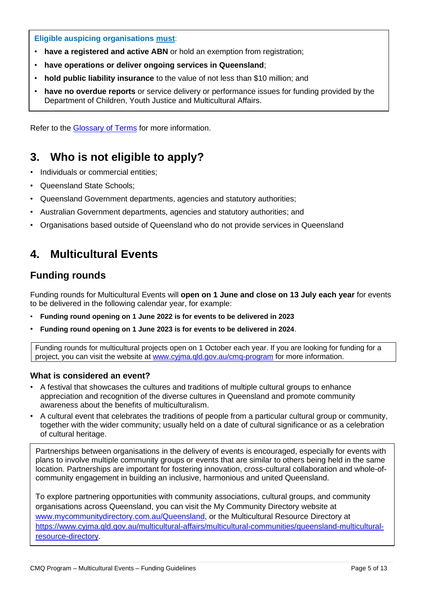#### **Eligible auspicing organisations must**:

- **have a registered and active ABN** or hold an exemption from registration;
- **have operations or deliver ongoing services in Queensland**;
- **hold public liability insurance** to the value of not less than \$10 million; and
- **have no overdue reports** or service delivery or performance issues for funding provided by the Department of Children, Youth Justice and Multicultural Affairs.

Refer to the [Glossary of Terms](#page-12-0) for more information.

## <span id="page-4-0"></span>**3. Who is not eligible to apply?**

- Individuals or commercial entities;
- Queensland State Schools;
- Queensland Government departments, agencies and statutory authorities;
- Australian Government departments, agencies and statutory authorities; and
- Organisations based outside of Queensland who do not provide services in Queensland

## <span id="page-4-1"></span>**4. Multicultural Events**

#### <span id="page-4-2"></span>**Funding rounds**

Funding rounds for Multicultural Events will **open on 1 June and close on 13 July each year** for events to be delivered in the following calendar year, for example:

- **Funding round opening on 1 June 2022 is for events to be delivered in 2023**
- **Funding round opening on 1 June 2023 is for events to be delivered in 2024**.

Funding rounds for multicultural projects open on 1 October each year. If you are looking for funding for a project, you can visit the website at [www.cyjma.qld.gov.au/cmq-program](http://www.cyjma.qld.gov.au/cmq-program) for more information.

#### <span id="page-4-3"></span>**What is considered an event?**

- A festival that showcases the cultures and traditions of multiple cultural groups to enhance appreciation and recognition of the diverse cultures in Queensland and promote community awareness about the benefits of multiculturalism.
- A cultural event that celebrates the traditions of people from a particular cultural group or community, together with the wider community; usually held on a date of cultural significance or as a celebration of cultural heritage.

Partnerships between organisations in the delivery of events is encouraged, especially for events with plans to involve multiple community groups or events that are similar to others being held in the same location. Partnerships are important for fostering innovation, cross-cultural collaboration and whole-ofcommunity engagement in building an inclusive, harmonious and united Queensland.

To explore partnering opportunities with community associations, cultural groups, and community organisations across Queensland, you can visit the My Community Directory website at [www.mycommunitydirectory.com.au/Queensland,](http://www.mycommunitydirectory.com.au/Queensland) or the Multicultural Resource Directory at [https://www.cyjma.qld.gov.au/multicultural-affairs/multicultural-communities/queensland-multicultural](https://www.cyjma.qld.gov.au/multicultural-affairs/multicultural-communities/queensland-multicultural-resource-directory)[resource-directory.](https://www.cyjma.qld.gov.au/multicultural-affairs/multicultural-communities/queensland-multicultural-resource-directory)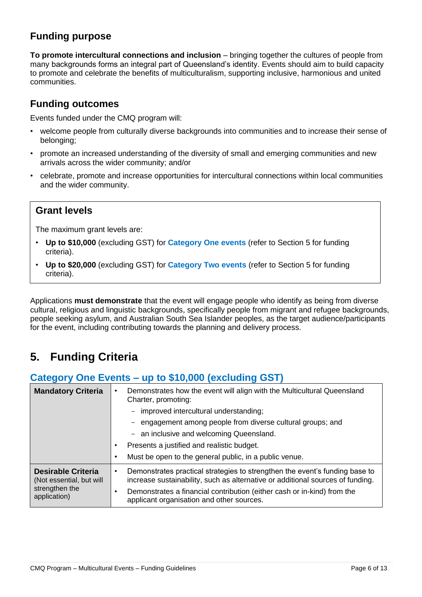### <span id="page-5-0"></span>**Funding purpose**

**To promote intercultural connections and inclusion** – bringing together the cultures of people from many backgrounds forms an integral part of Queensland's identity. Events should aim to build capacity to promote and celebrate the benefits of multiculturalism, supporting inclusive, harmonious and united communities.

#### <span id="page-5-1"></span>**Funding outcomes**

Events funded under the CMQ program will:

- welcome people from culturally diverse backgrounds into communities and to increase their sense of belonging;
- promote an increased understanding of the diversity of small and emerging communities and new arrivals across the wider community; and/or
- celebrate, promote and increase opportunities for intercultural connections within local communities and the wider community.

#### **Grant levels**

The maximum grant levels are:

- **Up to \$10,000** (excluding GST) for **Category One events** (refer to Section 5 for funding criteria).
- **Up to \$20,000** (excluding GST) for **Category Two events** (refer to Section 5 for funding criteria).

Applications **must demonstrate** that the event will engage people who identify as being from diverse cultural, religious and linguistic backgrounds, specifically people from migrant and refugee backgrounds, people seeking asylum, and Australian South Sea Islander peoples, as the target audience/participants for the event, including contributing towards the planning and delivery process.

## <span id="page-5-2"></span>**5. Funding Criteria**

#### <span id="page-5-3"></span>**Category One Events – up to \$10,000 (excluding GST)**

| <b>Mandatory Criteria</b>                                                               | Demonstrates how the event will align with the Multicultural Queensland<br>٠<br>Charter, promoting:<br>- improved intercultural understanding;<br>engagement among people from diverse cultural groups; and<br>- an inclusive and welcoming Queensland.<br>Presents a justified and realistic budget.<br>Must be open to the general public, in a public venue. |
|-----------------------------------------------------------------------------------------|-----------------------------------------------------------------------------------------------------------------------------------------------------------------------------------------------------------------------------------------------------------------------------------------------------------------------------------------------------------------|
| <b>Desirable Criteria</b><br>(Not essential, but will<br>strengthen the<br>application) | Demonstrates practical strategies to strengthen the event's funding base to<br>٠<br>increase sustainability, such as alternative or additional sources of funding.<br>Demonstrates a financial contribution (either cash or in-kind) from the<br>applicant organisation and other sources.                                                                      |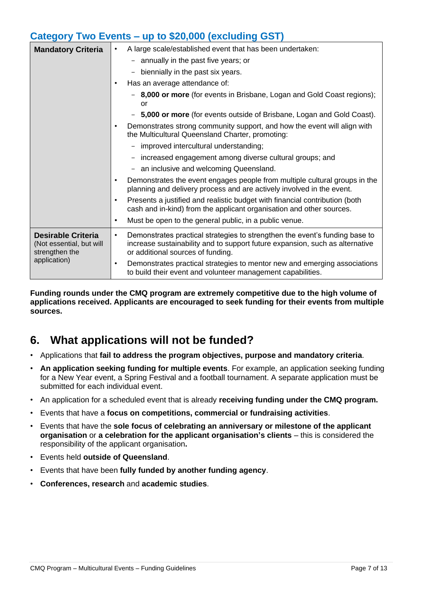#### <span id="page-6-0"></span>**Category Two Events – up to \$20,000 (excluding GST)**

| <b>Mandatory Criteria</b>                                               | A large scale/established event that has been undertaken:<br>٠                                                                                                                                        |
|-------------------------------------------------------------------------|-------------------------------------------------------------------------------------------------------------------------------------------------------------------------------------------------------|
|                                                                         | - annually in the past five years; or                                                                                                                                                                 |
|                                                                         | biennially in the past six years.                                                                                                                                                                     |
|                                                                         | Has an average attendance of:                                                                                                                                                                         |
|                                                                         | 8,000 or more (for events in Brisbane, Logan and Gold Coast regions);<br>or                                                                                                                           |
|                                                                         | 5,000 or more (for events outside of Brisbane, Logan and Gold Coast).                                                                                                                                 |
|                                                                         | Demonstrates strong community support, and how the event will align with<br>the Multicultural Queensland Charter, promoting:                                                                          |
|                                                                         | - improved intercultural understanding;                                                                                                                                                               |
|                                                                         | increased engagement among diverse cultural groups; and                                                                                                                                               |
|                                                                         | an inclusive and welcoming Queensland.                                                                                                                                                                |
|                                                                         | Demonstrates the event engages people from multiple cultural groups in the<br>planning and delivery process and are actively involved in the event.                                                   |
|                                                                         | Presents a justified and realistic budget with financial contribution (both<br>$\bullet$<br>cash and in-kind) from the applicant organisation and other sources.                                      |
|                                                                         | Must be open to the general public, in a public venue.<br>$\bullet$                                                                                                                                   |
| <b>Desirable Criteria</b><br>(Not essential, but will<br>strengthen the | Demonstrates practical strategies to strengthen the event's funding base to<br>٠<br>increase sustainability and to support future expansion, such as alternative<br>or additional sources of funding. |
| application)                                                            | Demonstrates practical strategies to mentor new and emerging associations<br>٠<br>to build their event and volunteer management capabilities.                                                         |
|                                                                         |                                                                                                                                                                                                       |

**Funding rounds under the CMQ program are extremely competitive due to the high volume of applications received. Applicants are encouraged to seek funding for their events from multiple sources.** 

## <span id="page-6-1"></span>**6. What applications will not be funded?**

- Applications that **fail to address the program objectives, purpose and mandatory criteria**.
- **An application seeking funding for multiple events**. For example, an application seeking funding for a New Year event, a Spring Festival and a football tournament. A separate application must be submitted for each individual event.
- An application for a scheduled event that is already **receiving funding under the CMQ program.**
- Events that have a **focus on competitions, commercial or fundraising activities**.
- Events that have the **sole focus of celebrating an anniversary or milestone of the applicant organisation** or **a celebration for the applicant organisation's clients** – this is considered the responsibility of the applicant organisation**.**
- Events held **outside of Queensland**.
- Events that have been **fully funded by another funding agency**.
- **Conferences, research** and **academic studies**.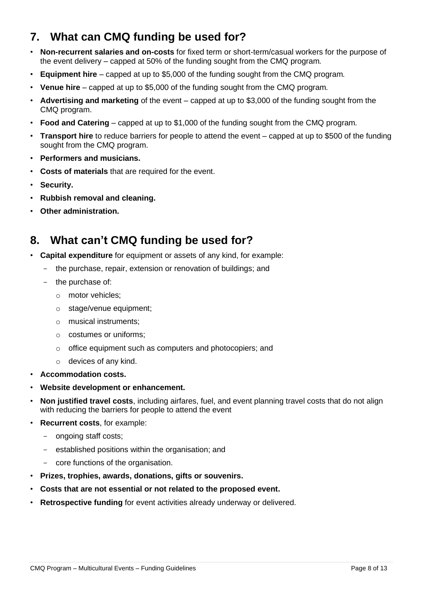## <span id="page-7-0"></span>**7. What can CMQ funding be used for?**

- **Non-recurrent salaries and on-costs** for fixed term or short-term/casual workers for the purpose of the event delivery – capped at 50% of the funding sought from the CMQ program*.*
- **Equipment hire** capped at up to \$5,000 of the funding sought from the CMQ program*.*
- **Venue hire** capped at up to \$5,000 of the funding sought from the CMQ program*.*
- **Advertising and marketing** of the event capped at up to \$3,000 of the funding sought from the CMQ program.
- **Food and Catering** capped at up to \$1,000 of the funding sought from the CMQ program*.*
- **Transport hire** to reduce barriers for people to attend the event capped at up to \$500 of the funding sought from the CMQ program.
- **Performers and musicians.**
- **Costs of materials** that are required for the event.
- **Security.**
- **Rubbish removal and cleaning.**
- **Other administration.**

## <span id="page-7-1"></span>**8. What can't CMQ funding be used for?**

- **Capital expenditure** for equipment or assets of any kind, for example:
	- the purchase, repair, extension or renovation of buildings; and
	- the purchase of:
		- o motor vehicles;
		- o stage/venue equipment;
		- o musical instruments;
		- o costumes or uniforms;
		- o office equipment such as computers and photocopiers; and
		- o devices of any kind.
- **Accommodation costs.**
- **Website development or enhancement.**
- **Non justified travel costs**, including airfares, fuel, and event planning travel costs that do not align with reducing the barriers for people to attend the event
- **Recurrent costs**, for example:
	- ongoing staff costs;
	- established positions within the organisation; and
	- core functions of the organisation.
- **Prizes, trophies, awards, donations, gifts or souvenirs.**
- **Costs that are not essential or not related to the proposed event.**
- **Retrospective funding** for event activities already underway or delivered.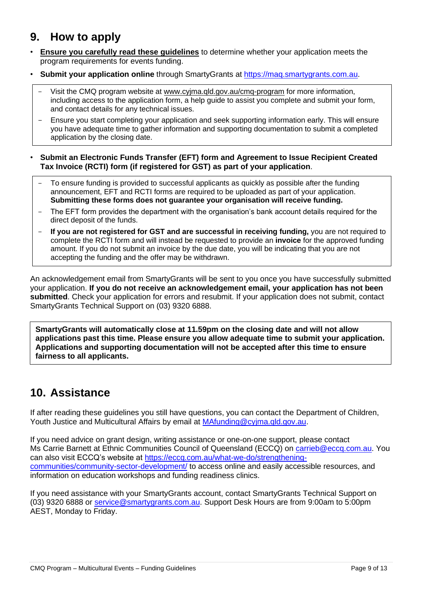## <span id="page-8-0"></span>**9. How to apply**

- **Ensure you carefully read these guidelines** to determine whether your application meets the program requirements for events funding.
- **Submit your application online** through SmartyGrants at [https://maq.smartygrants.com.au.](https://maq.smartygrants.com.au/)
	- Visit the CMQ program website at [www.cyjma.qld.gov.au/cmq-program](http://www.cyjma.qld.gov.au/cmq-program) for more information, including access to the application form, a help guide to assist you complete and submit your form, and contact details for any technical issues.
	- Ensure you start completing your application and seek supporting information early. This will ensure you have adequate time to gather information and supporting documentation to submit a completed application by the closing date.
- **Submit an Electronic Funds Transfer (EFT) form and Agreement to Issue Recipient Created Tax Invoice (RCTI) form (if registered for GST) as part of your application**.
	- To ensure funding is provided to successful applicants as quickly as possible after the funding announcement, EFT and RCTI forms are required to be uploaded as part of your application. **Submitting these forms does not guarantee your organisation will receive funding.**
	- The EFT form provides the department with the organisation's bank account details required for the direct deposit of the funds.
	- **If you are not registered for GST and are successful in receiving funding,** you are not required to complete the RCTI form and will instead be requested to provide an **invoice** for the approved funding amount. If you do not submit an invoice by the due date, you will be indicating that you are not accepting the funding and the offer may be withdrawn.

An acknowledgement email from SmartyGrants will be sent to you once you have successfully submitted your application. **If you do not receive an acknowledgement email, your application has not been submitted**. Check your application for errors and resubmit. If your application does not submit, contact SmartyGrants Technical Support on (03) 9320 6888.

**SmartyGrants will automatically close at 11.59pm on the closing date and will not allow applications past this time. Please ensure you allow adequate time to submit your application. Applications and supporting documentation will not be accepted after this time to ensure fairness to all applicants.**

## <span id="page-8-1"></span>**10. Assistance**

If after reading these guidelines you still have questions, you can contact the Department of Children, Youth Justice and Multicultural Affairs by email at [MAfunding@cyjma.qld.gov.au.](mailto:MAfunding@cyjma.qld.gov.au)

If you need advice on grant design, writing assistance or one-on-one support, please contact Ms Carrie Barnett at Ethnic Communities Council of Queensland (ECCQ) on [carrieb@eccq.com.au.](mailto:carrieb@eccq.com.au) You can also visit ECCQ's website at [https://eccq.com.au/what-we-do/strengthening](https://eccq.com.au/what-we-do/strengthening-communities/community-sector-development/)[communities/community-sector-development/](https://eccq.com.au/what-we-do/strengthening-communities/community-sector-development/) to access online and easily accessible resources, and information on education workshops and funding readiness clinics.

If you need assistance with your SmartyGrants account, contact SmartyGrants Technical Support on (03) 9320 6888 or [service@smartygrants.com.au.](mailto:service@smartygrants.com.au) Support Desk Hours are from 9:00am to 5:00pm AEST, Monday to Friday.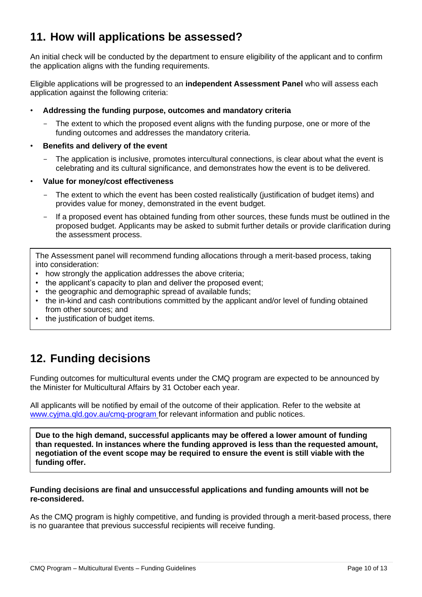## <span id="page-9-0"></span>**11. How will applications be assessed?**

An initial check will be conducted by the department to ensure eligibility of the applicant and to confirm the application aligns with the funding requirements.

Eligible applications will be progressed to an **independent Assessment Panel** who will assess each application against the following criteria:

- **Addressing the funding purpose, outcomes and mandatory criteria**
	- The extent to which the proposed event aligns with the funding purpose, one or more of the funding outcomes and addresses the mandatory criteria.

#### • **Benefits and delivery of the event**

- The application is inclusive, promotes intercultural connections, is clear about what the event is celebrating and its cultural significance, and demonstrates how the event is to be delivered.
- **Value for money/cost effectiveness**
	- The extent to which the event has been costed realistically (justification of budget items) and provides value for money, demonstrated in the event budget.
	- If a proposed event has obtained funding from other sources, these funds must be outlined in the proposed budget. Applicants may be asked to submit further details or provide clarification during the assessment process.

The Assessment panel will recommend funding allocations through a merit-based process, taking into consideration:

- how strongly the application addresses the above criteria;
- the applicant's capacity to plan and deliver the proposed event;
- the geographic and demographic spread of available funds;
- the in-kind and cash contributions committed by the applicant and/or level of funding obtained from other sources; and
- the justification of budget items.

## <span id="page-9-1"></span>**12. Funding decisions**

Funding outcomes for multicultural events under the CMQ program are expected to be announced by the Minister for Multicultural Affairs by 31 October each year.

All applicants will be notified by email of the outcome of their application. Refer to the website at [www.cyjma.qld.gov.au/cmq-program](http://www.cyjma.qld.gov.au/cmq-program) for relevant information and public notices.

**Due to the high demand, successful applicants may be offered a lower amount of funding than requested. In instances where the funding approved is less than the requested amount, negotiation of the event scope may be required to ensure the event is still viable with the funding offer.**

#### **Funding decisions are final and unsuccessful applications and funding amounts will not be re-considered.**

As the CMQ program is highly competitive, and funding is provided through a merit-based process, there is no guarantee that previous successful recipients will receive funding.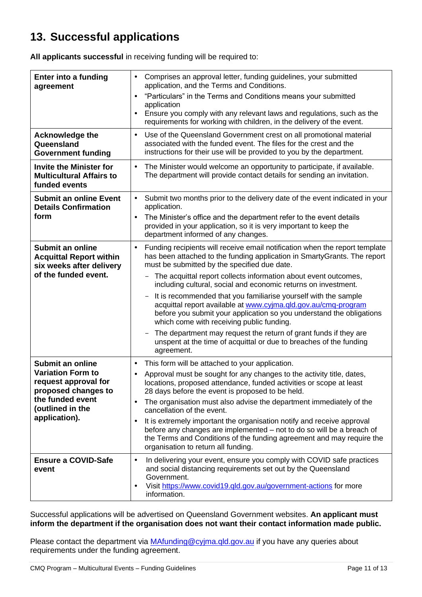## <span id="page-10-0"></span>**13. Successful applications**

**All applicants successful** in receiving funding will be required to:

| <b>Enter into a funding</b><br>agreement                                                                                                                    | Comprises an approval letter, funding guidelines, your submitted<br>application, and the Terms and Conditions.<br>"Particulars" in the Terms and Conditions means your submitted<br>$\bullet$<br>application<br>Ensure you comply with any relevant laws and regulations, such as the<br>$\bullet$<br>requirements for working with children, in the delivery of the event.                                                                                                                                                                                                                                                                                                                                                                                                                             |
|-------------------------------------------------------------------------------------------------------------------------------------------------------------|---------------------------------------------------------------------------------------------------------------------------------------------------------------------------------------------------------------------------------------------------------------------------------------------------------------------------------------------------------------------------------------------------------------------------------------------------------------------------------------------------------------------------------------------------------------------------------------------------------------------------------------------------------------------------------------------------------------------------------------------------------------------------------------------------------|
| <b>Acknowledge the</b><br>Queensland<br><b>Government funding</b>                                                                                           | Use of the Queensland Government crest on all promotional material<br>associated with the funded event. The files for the crest and the<br>instructions for their use will be provided to you by the department.                                                                                                                                                                                                                                                                                                                                                                                                                                                                                                                                                                                        |
| <b>Invite the Minister for</b><br><b>Multicultural Affairs to</b><br>funded events                                                                          | The Minister would welcome an opportunity to participate, if available.<br>$\bullet$<br>The department will provide contact details for sending an invitation.                                                                                                                                                                                                                                                                                                                                                                                                                                                                                                                                                                                                                                          |
| <b>Submit an online Event</b><br><b>Details Confirmation</b><br>form                                                                                        | Submit two months prior to the delivery date of the event indicated in your<br>$\bullet$<br>application.<br>The Minister's office and the department refer to the event details<br>$\bullet$<br>provided in your application, so it is very important to keep the<br>department informed of any changes.                                                                                                                                                                                                                                                                                                                                                                                                                                                                                                |
| Submit an online<br><b>Acquittal Report within</b><br>six weeks after delivery<br>of the funded event.                                                      | Funding recipients will receive email notification when the report template<br>$\bullet$<br>has been attached to the funding application in SmartyGrants. The report<br>must be submitted by the specified due date.<br>The acquittal report collects information about event outcomes,<br>including cultural, social and economic returns on investment.<br>It is recommended that you familiarise yourself with the sample<br>$\overline{\phantom{m}}$<br>acquittal report available at www.cyjma.qld.gov.au/cmq-program<br>before you submit your application so you understand the obligations<br>which come with receiving public funding.<br>The department may request the return of grant funds if they are<br>unspent at the time of acquittal or due to breaches of the funding<br>agreement. |
| <b>Submit an online</b><br><b>Variation Form to</b><br>request approval for<br>proposed changes to<br>the funded event<br>(outlined in the<br>application). | This form will be attached to your application.<br>$\bullet$<br>Approval must be sought for any changes to the activity title, dates,<br>$\bullet$<br>locations, proposed attendance, funded activities or scope at least<br>28 days before the event is proposed to be held.<br>The organisation must also advise the department immediately of the<br>cancellation of the event.<br>It is extremely important the organisation notify and receive approval<br>before any changes are implemented - not to do so will be a breach of<br>the Terms and Conditions of the funding agreement and may require the<br>organisation to return all funding.                                                                                                                                                   |
| <b>Ensure a COVID-Safe</b><br>event                                                                                                                         | In delivering your event, ensure you comply with COVID safe practices<br>$\bullet$<br>and social distancing requirements set out by the Queensland<br>Government.<br>Visit https://www.covid19.gld.gov.au/government-actions for more<br>information.                                                                                                                                                                                                                                                                                                                                                                                                                                                                                                                                                   |

Successful applications will be advertised on Queensland Government websites. **An applicant must inform the department if the organisation does not want their contact information made public.**

Please contact the department via [MAfunding@cyjma.qld.gov.au](mailto:MAfunding@cyjma.qld.gov.au) if you have any queries about requirements under the funding agreement.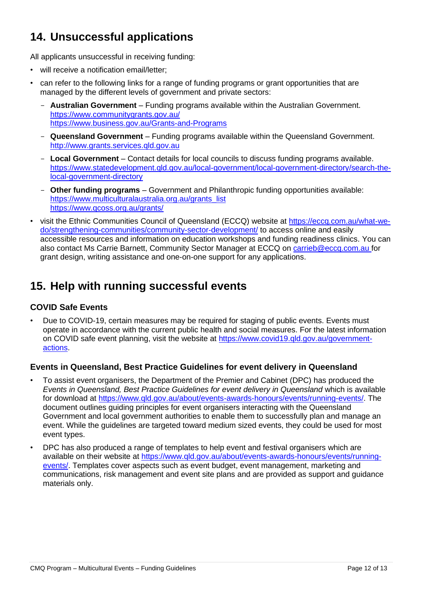## <span id="page-11-0"></span>**14. Unsuccessful applications**

All applicants unsuccessful in receiving funding:

- will receive a notification email/letter;
- can refer to the following links for a range of funding programs or grant opportunities that are managed by the different levels of government and private sectors:
	- **Australian Government**  Funding programs available within the Australian Government. <https://www.communitygrants.gov.au/> <https://www.business.gov.au/Grants-and-Programs>
	- **Queensland Government**  Funding programs available within the Queensland Government. [http://www.grants.services.qld.gov.au](http://www.grants.services.qld.gov.au/)
	- **Local Government**  Contact details for local councils to discuss funding programs available. [https://www.statedevelopment.qld.gov.au/local-government/local-government-directory/search-the](https://www.statedevelopment.qld.gov.au/local-government/local-government-directory/search-the-local-government-directory)[local-government-directory](https://www.statedevelopment.qld.gov.au/local-government/local-government-directory/search-the-local-government-directory)
	- **Other funding programs**  Government and Philanthropic funding opportunities available: [https://www.multiculturalaustralia.org.au/grants\\_list](https://www.multiculturalaustralia.org.au/grants_list) <https://www.qcoss.org.au/grants/>
- visit the Ethnic Communities Council of Queensland (ECCQ) website at [https://eccq.com.au/what-we](https://eccq.com.au/what-we-do/strengthening-communities/community-sector-development/)[do/strengthening-communities/community-sector-development/](https://eccq.com.au/what-we-do/strengthening-communities/community-sector-development/) to access online and easily accessible resources and information on education workshops and funding readiness clinics. You can also contact Ms Carrie Barnett, Community Sector Manager at ECCQ on [carrieb@eccq.com.au](mailto:carrieb@eccq.com.au) for grant design, writing assistance and one-on-one support for any applications.

## <span id="page-11-1"></span>**15. Help with running successful events**

#### <span id="page-11-2"></span>**COVID Safe Events**

• Due to COVID-19, certain measures may be required for staging of public events. Events must operate in accordance with the current public health and social measures. For the latest information on COVID safe event planning, visit the website at [https://www.covid19.qld.gov.au/government](https://www.covid19.qld.gov.au/government-actions)[actions.](https://www.covid19.qld.gov.au/government-actions)

#### <span id="page-11-3"></span>**Events in Queensland, Best Practice Guidelines for event delivery in Queensland**

- To assist event organisers, the Department of the Premier and Cabinet (DPC) has produced the *Events in Queensland, Best Practice Guidelines for event delivery in Queensland* which is available for download at [https://www.qld.gov.au/about/events-awards-honours/events/running-events/.](https://www.qld.gov.au/about/events-awards-honours/events/running-events/) The document outlines guiding principles for event organisers interacting with the Queensland Government and local government authorities to enable them to successfully plan and manage an event. While the guidelines are targeted toward medium sized events, they could be used for most event types.
- DPC has also produced a range of templates to help event and festival organisers which are available on their website at [https://www.qld.gov.au/about/events-awards-honours/events/running](https://www.qld.gov.au/about/events-awards-honours/events/running-events/)[events/.](https://www.qld.gov.au/about/events-awards-honours/events/running-events/) Templates cover aspects such as event budget, event management, marketing and communications, risk management and event site plans and are provided as support and guidance materials only.